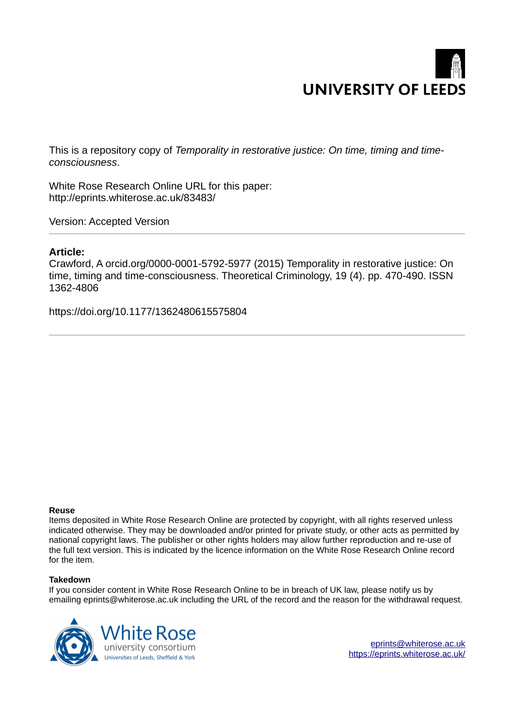

This is a repository copy of *Temporality in restorative justice: On time, timing and timeconsciousness*.

White Rose Research Online URL for this paper: http://eprints.whiterose.ac.uk/83483/

Version: Accepted Version

# **Article:**

Crawford, A orcid.org/0000-0001-5792-5977 (2015) Temporality in restorative justice: On time, timing and time-consciousness. Theoretical Criminology, 19 (4). pp. 470-490. ISSN 1362-4806

https://doi.org/10.1177/1362480615575804

### **Reuse**

Items deposited in White Rose Research Online are protected by copyright, with all rights reserved unless indicated otherwise. They may be downloaded and/or printed for private study, or other acts as permitted by national copyright laws. The publisher or other rights holders may allow further reproduction and re-use of the full text version. This is indicated by the licence information on the White Rose Research Online record for the item.

### **Takedown**

If you consider content in White Rose Research Online to be in breach of UK law, please notify us by emailing eprints@whiterose.ac.uk including the URL of the record and the reason for the withdrawal request.



eprints@whiterose.ac.uk https://eprints.whiterose.ac.uk/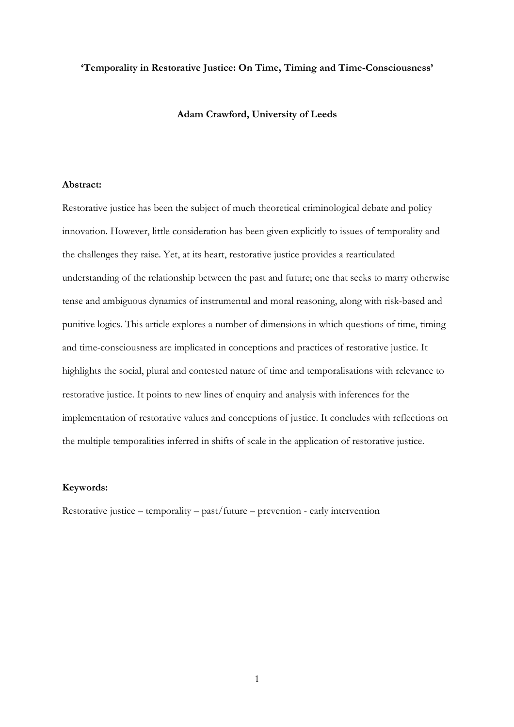### **'Temporality in Restorative Justice: On Time, Timing and Time-Consciousness'**

## **Adam Crawford, University of Leeds**

# **Abstract:**

Restorative justice has been the subject of much theoretical criminological debate and policy innovation. However, little consideration has been given explicitly to issues of temporality and the challenges they raise. Yet, at its heart, restorative justice provides a rearticulated understanding of the relationship between the past and future; one that seeks to marry otherwise tense and ambiguous dynamics of instrumental and moral reasoning, along with risk-based and punitive logics. This article explores a number of dimensions in which questions of time, timing and time-consciousness are implicated in conceptions and practices of restorative justice. It highlights the social, plural and contested nature of time and temporalisations with relevance to restorative justice. It points to new lines of enquiry and analysis with inferences for the implementation of restorative values and conceptions of justice. It concludes with reflections on the multiple temporalities inferred in shifts of scale in the application of restorative justice.

### **Keywords:**

Restorative justice – temporality – past/future – prevention - early intervention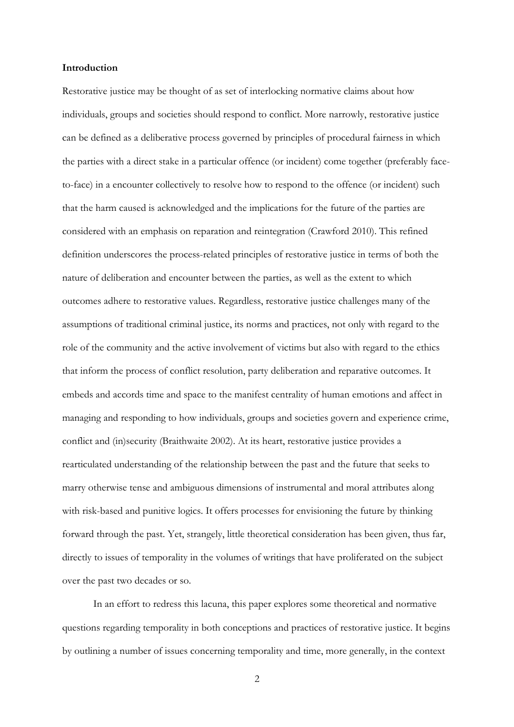### **Introduction**

Restorative justice may be thought of as set of interlocking normative claims about how individuals, groups and societies should respond to conflict. More narrowly, restorative justice can be defined as a deliberative process governed by principles of procedural fairness in which the parties with a direct stake in a particular offence (or incident) come together (preferably faceto-face) in a encounter collectively to resolve how to respond to the offence (or incident) such that the harm caused is acknowledged and the implications for the future of the parties are considered with an emphasis on reparation and reintegration (Crawford 2010). This refined definition underscores the process-related principles of restorative justice in terms of both the nature of deliberation and encounter between the parties, as well as the extent to which outcomes adhere to restorative values. Regardless, restorative justice challenges many of the assumptions of traditional criminal justice, its norms and practices, not only with regard to the role of the community and the active involvement of victims but also with regard to the ethics that inform the process of conflict resolution, party deliberation and reparative outcomes. It embeds and accords time and space to the manifest centrality of human emotions and affect in managing and responding to how individuals, groups and societies govern and experience crime, conflict and (in)security (Braithwaite 2002). At its heart, restorative justice provides a rearticulated understanding of the relationship between the past and the future that seeks to marry otherwise tense and ambiguous dimensions of instrumental and moral attributes along with risk-based and punitive logics. It offers processes for envisioning the future by thinking forward through the past. Yet, strangely, little theoretical consideration has been given, thus far, directly to issues of temporality in the volumes of writings that have proliferated on the subject over the past two decades or so.

In an effort to redress this lacuna, this paper explores some theoretical and normative questions regarding temporality in both conceptions and practices of restorative justice. It begins by outlining a number of issues concerning temporality and time, more generally, in the context

 $\overline{2}$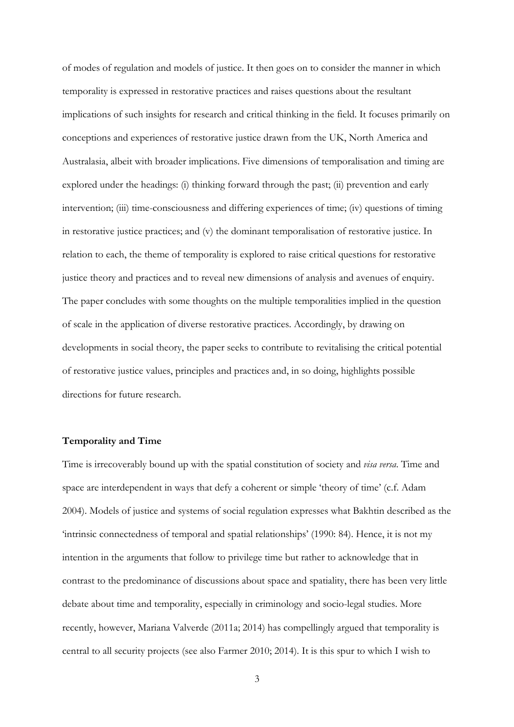of modes of regulation and models of justice. It then goes on to consider the manner in which temporality is expressed in restorative practices and raises questions about the resultant implications of such insights for research and critical thinking in the field. It focuses primarily on conceptions and experiences of restorative justice drawn from the UK, North America and Australasia, albeit with broader implications. Five dimensions of temporalisation and timing are explored under the headings: (i) thinking forward through the past; (ii) prevention and early intervention; (iii) time-consciousness and differing experiences of time; (iv) questions of timing in restorative justice practices; and (v) the dominant temporalisation of restorative justice. In relation to each, the theme of temporality is explored to raise critical questions for restorative justice theory and practices and to reveal new dimensions of analysis and avenues of enquiry. The paper concludes with some thoughts on the multiple temporalities implied in the question of scale in the application of diverse restorative practices. Accordingly, by drawing on developments in social theory, the paper seeks to contribute to revitalising the critical potential of restorative justice values, principles and practices and, in so doing, highlights possible directions for future research.

### **Temporality and Time**

Time is irrecoverably bound up with the spatial constitution of society and *visa versa*. Time and space are interdependent in ways that defy a coherent or simple 'theory of time' (c.f. Adam 2004). Models of justice and systems of social regulation expresses what Bakhtin described as the 'intrinsic connectedness of temporal and spatial relationships' (1990: 84). Hence, it is not my intention in the arguments that follow to privilege time but rather to acknowledge that in contrast to the predominance of discussions about space and spatiality, there has been very little debate about time and temporality, especially in criminology and socio-legal studies. More recently, however, Mariana Valverde (2011a; 2014) has compellingly argued that temporality is central to all security projects (see also Farmer 2010; 2014). It is this spur to which I wish to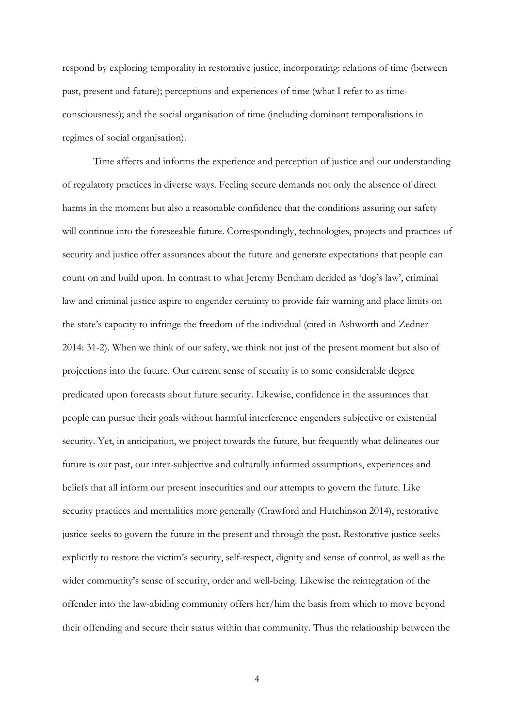respond by exploring temporality in restorative justice, incorporating: relations of time (between past, present and future); perceptions and experiences of time (what I refer to as timeconsciousness); and the social organisation of time (including dominant temporalistions in regimes of social organisation).

Time affects and informs the experience and perception of justice and our understanding of regulatory practices in diverse ways. Feeling secure demands not only the absence of direct harms in the moment but also a reasonable confidence that the conditions assuring our safety will continue into the foreseeable future. Correspondingly, technologies, projects and practices of security and justice offer assurances about the future and generate expectations that people can count on and build upon. In contrast to what Jeremy Bentham derided as 'dog's law', criminal law and criminal justice aspire to engender certainty to provide fair warning and place limits on the state's capacity to infringe the freedom of the individual (cited in Ashworth and Zedner 2014: 31-2). When we think of our safety, we think not just of the present moment but also of projections into the future. Our current sense of security is to some considerable degree predicated upon forecasts about future security. Likewise, confidence in the assurances that people can pursue their goals without harmful interference engenders subjective or existential security. Yet, in anticipation, we project towards the future, but frequently what delineates our future is our past, our inter-subjective and culturally informed assumptions, experiences and beliefs that all inform our present insecurities and our attempts to govern the future. Like security practices and mentalities more generally (Crawford and Hutchinson 2014), restorative justice seeks to govern the future in the present and through the past**.** Restorative justice seeks explicitly to restore the victim's security, self-respect, dignity and sense of control, as well as the wider community's sense of security, order and well-being. Likewise the reintegration of the offender into the law-abiding community offers her/him the basis from which to move beyond their offending and secure their status within that community. Thus the relationship between the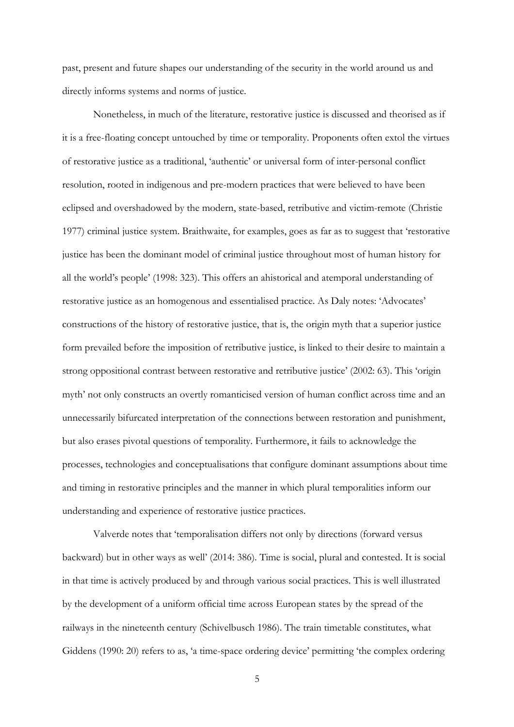past, present and future shapes our understanding of the security in the world around us and directly informs systems and norms of justice.

Nonetheless, in much of the literature, restorative justice is discussed and theorised as if it is a free-floating concept untouched by time or temporality. Proponents often extol the virtues of restorative justice as a traditional, 'authentic' or universal form of inter-personal conflict resolution, rooted in indigenous and pre-modern practices that were believed to have been eclipsed and overshadowed by the modern, state-based, retributive and victim-remote (Christie 1977) criminal justice system. Braithwaite, for examples, goes as far as to suggest that 'restorative justice has been the dominant model of criminal justice throughout most of human history for all the world's people' (1998: 323). This offers an ahistorical and atemporal understanding of restorative justice as an homogenous and essentialised practice. As Daly notes: 'Advocates' constructions of the history of restorative justice, that is, the origin myth that a superior justice form prevailed before the imposition of retributive justice, is linked to their desire to maintain a strong oppositional contrast between restorative and retributive justice' (2002: 63). This 'origin myth' not only constructs an overtly romanticised version of human conflict across time and an unnecessarily bifurcated interpretation of the connections between restoration and punishment, but also erases pivotal questions of temporality. Furthermore, it fails to acknowledge the processes, technologies and conceptualisations that configure dominant assumptions about time and timing in restorative principles and the manner in which plural temporalities inform our understanding and experience of restorative justice practices.

Valverde notes that 'temporalisation differs not only by directions (forward versus backward) but in other ways as well' (2014: 386). Time is social, plural and contested. It is social in that time is actively produced by and through various social practices. This is well illustrated by the development of a uniform official time across European states by the spread of the railways in the nineteenth century (Schivelbusch 1986). The train timetable constitutes, what Giddens (1990: 20) refers to as, 'a time-space ordering device' permitting 'the complex ordering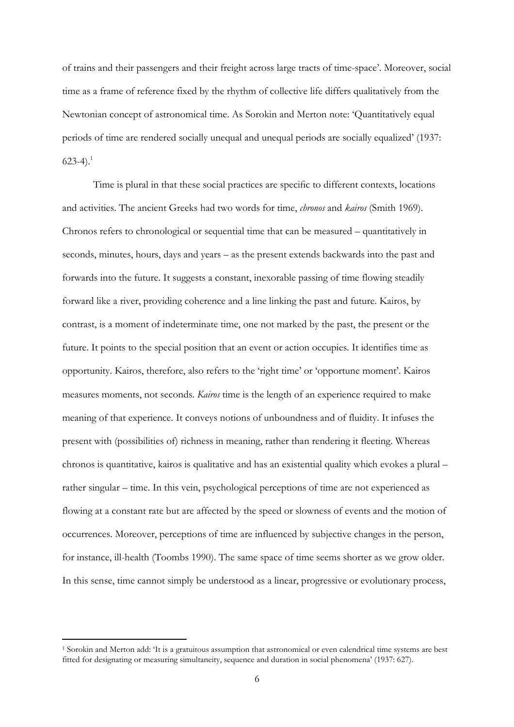of trains and their passengers and their freight across large tracts of time-space'. Moreover, social time as a frame of reference fixed by the rhythm of collective life differs qualitatively from the Newtonian concept of astronomical time. As Sorokin and Merton note: 'Quantitatively equal periods of time are rendered socially unequal and unequal periods are socially equalized' (1937:  $623-4$ ).<sup>1</sup>

Time is plural in that these social practices are specific to different contexts, locations and activities. The ancient Greeks had two words for time, *chronos* and *kairos* (Smith 1969). Chronos refers to chronological or sequential time that can be measured – quantitatively in seconds, minutes, hours, days and years – as the present extends backwards into the past and forwards into the future. It suggests a constant, inexorable passing of time flowing steadily forward like a river, providing coherence and a line linking the past and future. Kairos, by contrast, is a moment of indeterminate time, one not marked by the past, the present or the future. It points to the special position that an event or action occupies. It identifies time as opportunity. Kairos, therefore, also refers to the 'right time' or 'opportune moment'. Kairos measures moments, not seconds. *Kairos* time is the length of an experience required to make meaning of that experience. It conveys notions of unboundness and of fluidity. It infuses the present with (possibilities of) richness in meaning, rather than rendering it fleeting. Whereas chronos is quantitative, kairos is qualitative and has an existential quality which evokes a plural – rather singular – time. In this vein, psychological perceptions of time are not experienced as flowing at a constant rate but are affected by the speed or slowness of events and the motion of occurrences. Moreover, perceptions of time are influenced by subjective changes in the person, for instance, ill-health (Toombs 1990). The same space of time seems shorter as we grow older. In this sense, time cannot simply be understood as a linear, progressive or evolutionary process,

<sup>1</sup> Sorokin and Merton add: 'It is a gratuitous assumption that astronomical or even calendrical time systems are best fitted for designating or measuring simultaneity, sequence and duration in social phenomena' (1937: 627).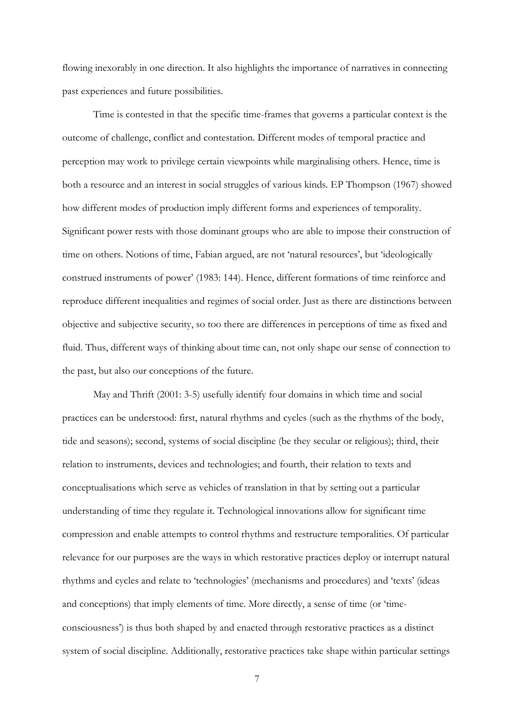flowing inexorably in one direction. It also highlights the importance of narratives in connecting past experiences and future possibilities.

Time is contested in that the specific time-frames that governs a particular context is the outcome of challenge, conflict and contestation. Different modes of temporal practice and perception may work to privilege certain viewpoints while marginalising others. Hence, time is both a resource and an interest in social struggles of various kinds. EP Thompson (1967) showed how different modes of production imply different forms and experiences of temporality. Significant power rests with those dominant groups who are able to impose their construction of time on others. Notions of time, Fabian argued, are not 'natural resources', but 'ideologically construed instruments of power' (1983: 144). Hence, different formations of time reinforce and reproduce different inequalities and regimes of social order. Just as there are distinctions between objective and subjective security, so too there are differences in perceptions of time as fixed and fluid. Thus, different ways of thinking about time can, not only shape our sense of connection to the past, but also our conceptions of the future.

May and Thrift (2001: 3-5) usefully identify four domains in which time and social practices can be understood: first, natural rhythms and cycles (such as the rhythms of the body, tide and seasons); second, systems of social discipline (be they secular or religious); third, their relation to instruments, devices and technologies; and fourth, their relation to texts and conceptualisations which serve as vehicles of translation in that by setting out a particular understanding of time they regulate it. Technological innovations allow for significant time compression and enable attempts to control rhythms and restructure temporalities. Of particular relevance for our purposes are the ways in which restorative practices deploy or interrupt natural rhythms and cycles and relate to 'technologies' (mechanisms and procedures) and 'texts' (ideas and conceptions) that imply elements of time. More directly, a sense of time (or 'timeconsciousness') is thus both shaped by and enacted through restorative practices as a distinct system of social discipline. Additionally, restorative practices take shape within particular settings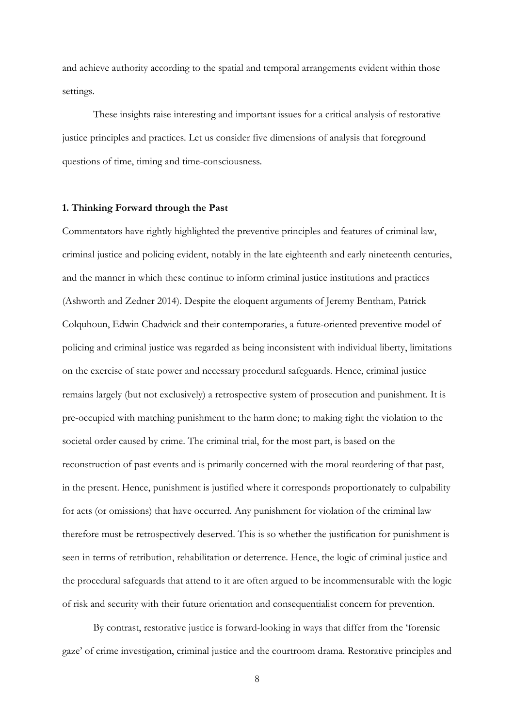and achieve authority according to the spatial and temporal arrangements evident within those settings.

These insights raise interesting and important issues for a critical analysis of restorative justice principles and practices. Let us consider five dimensions of analysis that foreground questions of time, timing and time-consciousness.

### **1. Thinking Forward through the Past**

Commentators have rightly highlighted the preventive principles and features of criminal law, criminal justice and policing evident, notably in the late eighteenth and early nineteenth centuries, and the manner in which these continue to inform criminal justice institutions and practices (Ashworth and Zedner 2014). Despite the eloquent arguments of Jeremy Bentham, Patrick Colquhoun, Edwin Chadwick and their contemporaries, a future-oriented preventive model of policing and criminal justice was regarded as being inconsistent with individual liberty, limitations on the exercise of state power and necessary procedural safeguards. Hence, criminal justice remains largely (but not exclusively) a retrospective system of prosecution and punishment. It is pre-occupied with matching punishment to the harm done; to making right the violation to the societal order caused by crime. The criminal trial, for the most part, is based on the reconstruction of past events and is primarily concerned with the moral reordering of that past, in the present. Hence, punishment is justified where it corresponds proportionately to culpability for acts (or omissions) that have occurred. Any punishment for violation of the criminal law therefore must be retrospectively deserved. This is so whether the justification for punishment is seen in terms of retribution, rehabilitation or deterrence. Hence, the logic of criminal justice and the procedural safeguards that attend to it are often argued to be incommensurable with the logic of risk and security with their future orientation and consequentialist concern for prevention.

By contrast, restorative justice is forward-looking in ways that differ from the 'forensic gaze' of crime investigation, criminal justice and the courtroom drama. Restorative principles and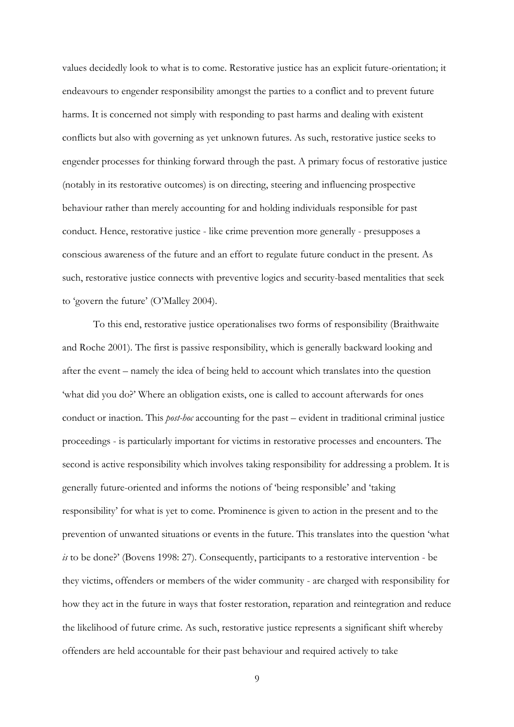values decidedly look to what is to come. Restorative justice has an explicit future-orientation; it endeavours to engender responsibility amongst the parties to a conflict and to prevent future harms. It is concerned not simply with responding to past harms and dealing with existent conflicts but also with governing as yet unknown futures. As such, restorative justice seeks to engender processes for thinking forward through the past. A primary focus of restorative justice (notably in its restorative outcomes) is on directing, steering and influencing prospective behaviour rather than merely accounting for and holding individuals responsible for past conduct. Hence, restorative justice - like crime prevention more generally - presupposes a conscious awareness of the future and an effort to regulate future conduct in the present. As such, restorative justice connects with preventive logics and security-based mentalities that seek to 'govern the future' (O'Malley 2004).

To this end, restorative justice operationalises two forms of responsibility (Braithwaite and Roche 2001). The first is passive responsibility, which is generally backward looking and after the event – namely the idea of being held to account which translates into the question 'what did you do?' Where an obligation exists, one is called to account afterwards for ones conduct or inaction. This *post-hoc* accounting for the past – evident in traditional criminal justice proceedings - is particularly important for victims in restorative processes and encounters. The second is active responsibility which involves taking responsibility for addressing a problem. It is generally future-oriented and informs the notions of 'being responsible' and 'taking responsibility' for what is yet to come. Prominence is given to action in the present and to the prevention of unwanted situations or events in the future. This translates into the question 'what *is* to be done?' (Bovens 1998: 27). Consequently, participants to a restorative intervention - be they victims, offenders or members of the wider community - are charged with responsibility for how they act in the future in ways that foster restoration, reparation and reintegration and reduce the likelihood of future crime. As such, restorative justice represents a significant shift whereby offenders are held accountable for their past behaviour and required actively to take

 $\overline{Q}$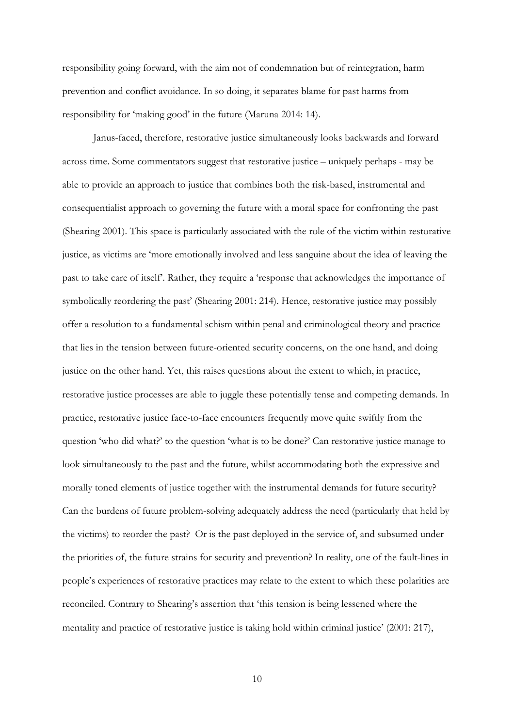responsibility going forward, with the aim not of condemnation but of reintegration, harm prevention and conflict avoidance. In so doing, it separates blame for past harms from responsibility for 'making good' in the future (Maruna 2014: 14).

Janus-faced, therefore, restorative justice simultaneously looks backwards and forward across time. Some commentators suggest that restorative justice – uniquely perhaps - may be able to provide an approach to justice that combines both the risk-based, instrumental and consequentialist approach to governing the future with a moral space for confronting the past (Shearing 2001). This space is particularly associated with the role of the victim within restorative justice, as victims are 'more emotionally involved and less sanguine about the idea of leaving the past to take care of itself'. Rather, they require a 'response that acknowledges the importance of symbolically reordering the past' (Shearing 2001: 214). Hence, restorative justice may possibly offer a resolution to a fundamental schism within penal and criminological theory and practice that lies in the tension between future-oriented security concerns, on the one hand, and doing justice on the other hand. Yet, this raises questions about the extent to which, in practice, restorative justice processes are able to juggle these potentially tense and competing demands. In practice, restorative justice face-to-face encounters frequently move quite swiftly from the question 'who did what?' to the question 'what is to be done?' Can restorative justice manage to look simultaneously to the past and the future, whilst accommodating both the expressive and morally toned elements of justice together with the instrumental demands for future security? Can the burdens of future problem-solving adequately address the need (particularly that held by the victims) to reorder the past? Or is the past deployed in the service of, and subsumed under the priorities of, the future strains for security and prevention? In reality, one of the fault-lines in people's experiences of restorative practices may relate to the extent to which these polarities are reconciled. Contrary to Shearing's assertion that 'this tension is being lessened where the mentality and practice of restorative justice is taking hold within criminal justice' (2001: 217),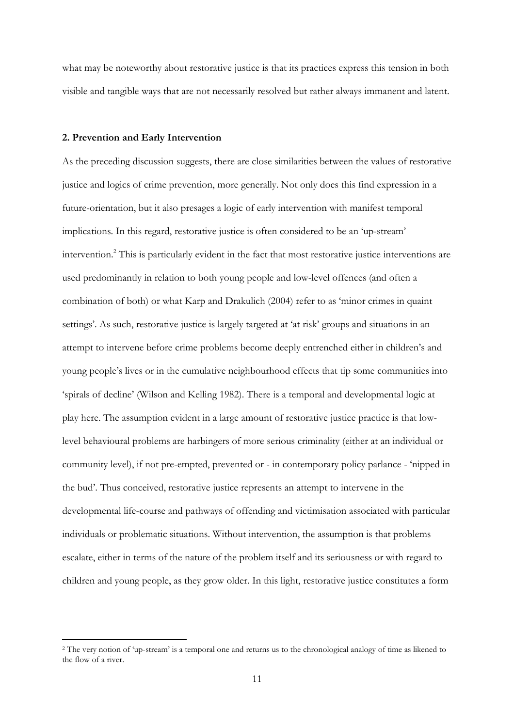what may be noteworthy about restorative justice is that its practices express this tension in both visible and tangible ways that are not necessarily resolved but rather always immanent and latent.

### **2. Prevention and Early Intervention**

As the preceding discussion suggests, there are close similarities between the values of restorative justice and logics of crime prevention, more generally. Not only does this find expression in a future-orientation, but it also presages a logic of early intervention with manifest temporal implications. In this regard, restorative justice is often considered to be an 'up-stream' intervention.<sup>2</sup> This is particularly evident in the fact that most restorative justice interventions are used predominantly in relation to both young people and low-level offences (and often a combination of both) or what Karp and Drakulich (2004) refer to as 'minor crimes in quaint settings'. As such, restorative justice is largely targeted at 'at risk' groups and situations in an attempt to intervene before crime problems become deeply entrenched either in children's and young people's lives or in the cumulative neighbourhood effects that tip some communities into 'spirals of decline' (Wilson and Kelling 1982). There is a temporal and developmental logic at play here. The assumption evident in a large amount of restorative justice practice is that lowlevel behavioural problems are harbingers of more serious criminality (either at an individual or community level), if not pre-empted, prevented or - in contemporary policy parlance - 'nipped in the bud'. Thus conceived, restorative justice represents an attempt to intervene in the developmental life-course and pathways of offending and victimisation associated with particular individuals or problematic situations. Without intervention, the assumption is that problems escalate, either in terms of the nature of the problem itself and its seriousness or with regard to children and young people, as they grow older. In this light, restorative justice constitutes a form

<sup>2</sup> The very notion of 'up-stream' is a temporal one and returns us to the chronological analogy of time as likened to the flow of a river.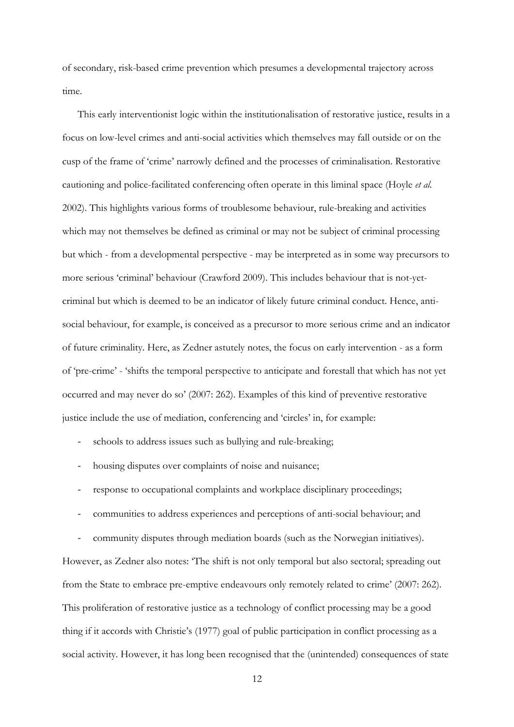of secondary, risk-based crime prevention which presumes a developmental trajectory across time.

This early interventionist logic within the institutionalisation of restorative justice, results in a focus on low-level crimes and anti-social activities which themselves may fall outside or on the cusp of the frame of 'crime' narrowly defined and the processes of criminalisation. Restorative cautioning and police-facilitated conferencing often operate in this liminal space (Hoyle *et al.* 2002). This highlights various forms of troublesome behaviour, rule-breaking and activities which may not themselves be defined as criminal or may not be subject of criminal processing but which - from a developmental perspective - may be interpreted as in some way precursors to more serious 'criminal' behaviour (Crawford 2009). This includes behaviour that is not-yetcriminal but which is deemed to be an indicator of likely future criminal conduct. Hence, antisocial behaviour, for example, is conceived as a precursor to more serious crime and an indicator of future criminality. Here, as Zedner astutely notes, the focus on early intervention - as a form of 'pre-crime' - 'shifts the temporal perspective to anticipate and forestall that which has not yet occurred and may never do so' (2007: 262). Examples of this kind of preventive restorative justice include the use of mediation, conferencing and 'circles' in, for example:

- schools to address issues such as bullying and rule-breaking;
- housing disputes over complaints of noise and nuisance;
- response to occupational complaints and workplace disciplinary proceedings;
- communities to address experiences and perceptions of anti-social behaviour; and

- community disputes through mediation boards (such as the Norwegian initiatives). However, as Zedner also notes: 'The shift is not only temporal but also sectoral; spreading out from the State to embrace pre-emptive endeavours only remotely related to crime' (2007: 262). This proliferation of restorative justice as a technology of conflict processing may be a good thing if it accords with Christie's (1977) goal of public participation in conflict processing as a social activity. However, it has long been recognised that the (unintended) consequences of state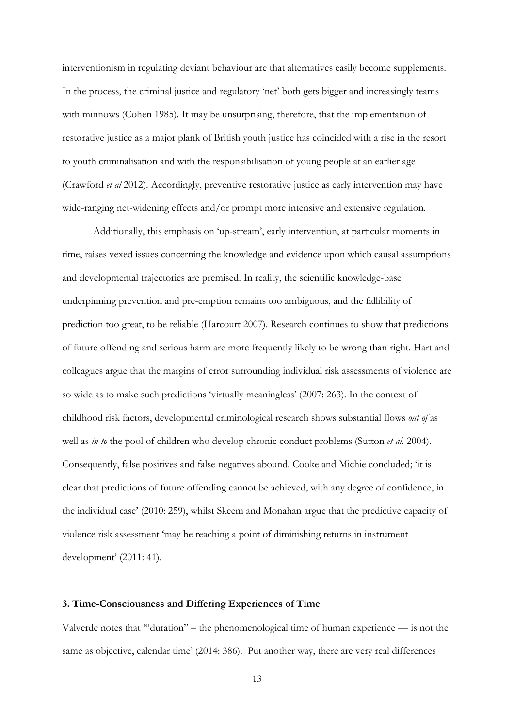interventionism in regulating deviant behaviour are that alternatives easily become supplements. In the process, the criminal justice and regulatory 'net' both gets bigger and increasingly teams with minnows (Cohen 1985). It may be unsurprising, therefore, that the implementation of restorative justice as a major plank of British youth justice has coincided with a rise in the resort to youth criminalisation and with the responsibilisation of young people at an earlier age (Crawford *et al* 2012). Accordingly, preventive restorative justice as early intervention may have wide-ranging net-widening effects and/or prompt more intensive and extensive regulation.

Additionally, this emphasis on 'up-stream', early intervention, at particular moments in time, raises vexed issues concerning the knowledge and evidence upon which causal assumptions and developmental trajectories are premised. In reality, the scientific knowledge-base underpinning prevention and pre-emption remains too ambiguous, and the fallibility of prediction too great, to be reliable (Harcourt 2007). Research continues to show that predictions of future offending and serious harm are more frequently likely to be wrong than right. Hart and colleagues argue that the margins of error surrounding individual risk assessments of violence are so wide as to make such predictions 'virtually meaningless' (2007: 263). In the context of childhood risk factors, developmental criminological research shows substantial flows *out of* as well as *in to* the pool of children who develop chronic conduct problems (Sutton *et al*. 2004). Consequently, false positives and false negatives abound. Cooke and Michie concluded; 'it is clear that predictions of future offending cannot be achieved, with any degree of confidence, in the individual case' (2010: 259), whilst Skeem and Monahan argue that the predictive capacity of violence risk assessment 'may be reaching a point of diminishing returns in instrument development' (2011: 41).

### **3. Time-Consciousness and Differing Experiences of Time**

Valverde notes that '"duration" – the phenomenological time of human experience — is not the same as objective, calendar time' (2014: 386). Put another way, there are very real differences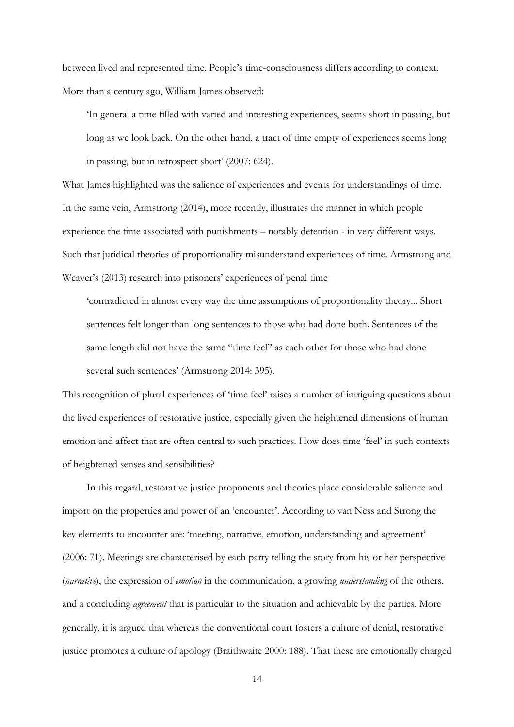between lived and represented time. People's time-consciousness differs according to context. More than a century ago, William James observed:

'In general a time filled with varied and interesting experiences, seems short in passing, but long as we look back. On the other hand, a tract of time empty of experiences seems long in passing, but in retrospect short' (2007: 624).

What James highlighted was the salience of experiences and events for understandings of time. In the same vein, Armstrong (2014), more recently, illustrates the manner in which people experience the time associated with punishments – notably detention - in very different ways. Such that juridical theories of proportionality misunderstand experiences of time. Armstrong and Weaver's (2013) research into prisoners' experiences of penal time

'contradicted in almost every way the time assumptions of proportionality theory... Short sentences felt longer than long sentences to those who had done both. Sentences of the same length did not have the same "time feel" as each other for those who had done several such sentences' (Armstrong 2014: 395).

This recognition of plural experiences of 'time feel' raises a number of intriguing questions about the lived experiences of restorative justice, especially given the heightened dimensions of human emotion and affect that are often central to such practices. How does time 'feel' in such contexts of heightened senses and sensibilities?

In this regard, restorative justice proponents and theories place considerable salience and import on the properties and power of an 'encounter'. According to van Ness and Strong the key elements to encounter are: 'meeting, narrative, emotion, understanding and agreement' (2006: 71). Meetings are characterised by each party telling the story from his or her perspective (*narrative*), the expression of *emotion* in the communication, a growing *understanding* of the others, and a concluding *agreement* that is particular to the situation and achievable by the parties. More generally, it is argued that whereas the conventional court fosters a culture of denial, restorative justice promotes a culture of apology (Braithwaite 2000: 188). That these are emotionally charged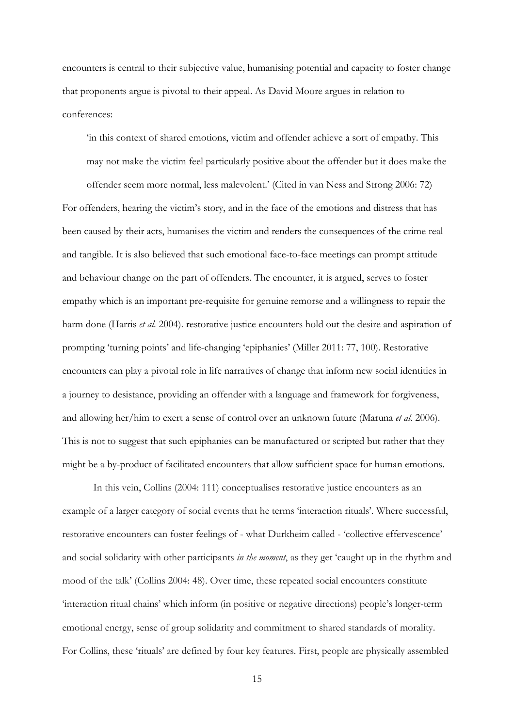encounters is central to their subjective value, humanising potential and capacity to foster change that proponents argue is pivotal to their appeal. As David Moore argues in relation to conferences:

'in this context of shared emotions, victim and offender achieve a sort of empathy. This may not make the victim feel particularly positive about the offender but it does make the

offender seem more normal, less malevolent.' (Cited in van Ness and Strong 2006: 72) For offenders, hearing the victim's story, and in the face of the emotions and distress that has been caused by their acts, humanises the victim and renders the consequences of the crime real and tangible. It is also believed that such emotional face-to-face meetings can prompt attitude and behaviour change on the part of offenders. The encounter, it is argued, serves to foster empathy which is an important pre-requisite for genuine remorse and a willingness to repair the harm done (Harris *et al*. 2004). restorative justice encounters hold out the desire and aspiration of prompting 'turning points' and life-changing 'epiphanies' (Miller 2011: 77, 100). Restorative encounters can play a pivotal role in life narratives of change that inform new social identities in a journey to desistance, providing an offender with a language and framework for forgiveness, and allowing her/him to exert a sense of control over an unknown future (Maruna *et al*. 2006). This is not to suggest that such epiphanies can be manufactured or scripted but rather that they might be a by-product of facilitated encounters that allow sufficient space for human emotions.

In this vein, Collins (2004: 111) conceptualises restorative justice encounters as an example of a larger category of social events that he terms 'interaction rituals'. Where successful, restorative encounters can foster feelings of - what Durkheim called - 'collective effervescence' and social solidarity with other participants *in the moment*, as they get 'caught up in the rhythm and mood of the talk' (Collins 2004: 48). Over time, these repeated social encounters constitute 'interaction ritual chains' which inform (in positive or negative directions) people's longer-term emotional energy, sense of group solidarity and commitment to shared standards of morality. For Collins, these 'rituals' are defined by four key features. First, people are physically assembled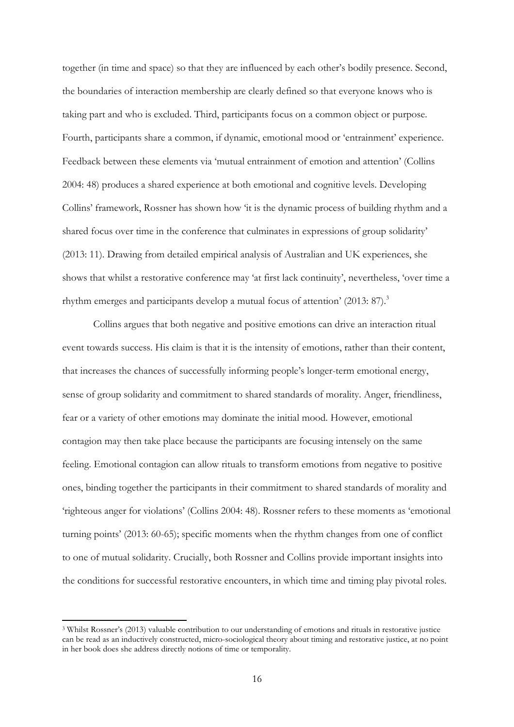together (in time and space) so that they are influenced by each other's bodily presence. Second, the boundaries of interaction membership are clearly defined so that everyone knows who is taking part and who is excluded. Third, participants focus on a common object or purpose. Fourth, participants share a common, if dynamic, emotional mood or 'entrainment' experience. Feedback between these elements via 'mutual entrainment of emotion and attention' (Collins 2004: 48) produces a shared experience at both emotional and cognitive levels. Developing Collins' framework, Rossner has shown how 'it is the dynamic process of building rhythm and a shared focus over time in the conference that culminates in expressions of group solidarity' (2013: 11). Drawing from detailed empirical analysis of Australian and UK experiences, she shows that whilst a restorative conference may 'at first lack continuity', nevertheless, 'over time a rhythm emerges and participants develop a mutual focus of attention' (2013: 87).<sup>3</sup>

Collins argues that both negative and positive emotions can drive an interaction ritual event towards success. His claim is that it is the intensity of emotions, rather than their content, that increases the chances of successfully informing people's longer-term emotional energy, sense of group solidarity and commitment to shared standards of morality. Anger, friendliness, fear or a variety of other emotions may dominate the initial mood. However, emotional contagion may then take place because the participants are focusing intensely on the same feeling. Emotional contagion can allow rituals to transform emotions from negative to positive ones, binding together the participants in their commitment to shared standards of morality and 'righteous anger for violations' (Collins 2004: 48). Rossner refers to these moments as 'emotional turning points' (2013: 60-65); specific moments when the rhythm changes from one of conflict to one of mutual solidarity. Crucially, both Rossner and Collins provide important insights into the conditions for successful restorative encounters, in which time and timing play pivotal roles.

<sup>3</sup> Whilst Rossner's (2013) valuable contribution to our understanding of emotions and rituals in restorative justice can be read as an inductively constructed, micro-sociological theory about timing and restorative justice, at no point in her book does she address directly notions of time or temporality.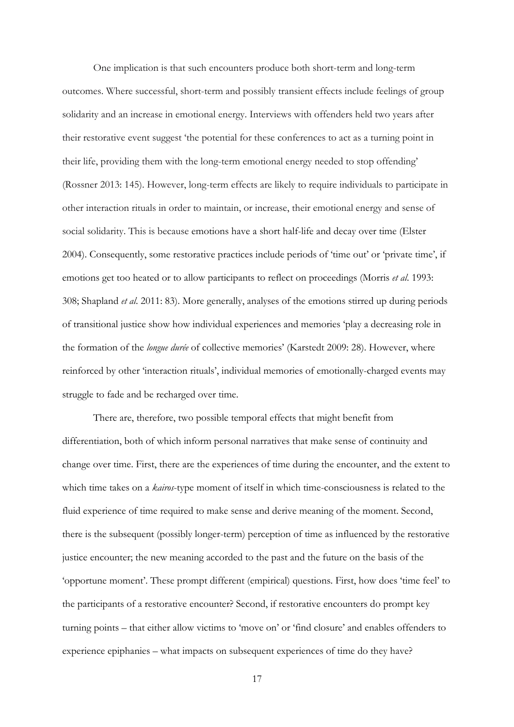One implication is that such encounters produce both short-term and long-term outcomes. Where successful, short-term and possibly transient effects include feelings of group solidarity and an increase in emotional energy. Interviews with offenders held two years after their restorative event suggest 'the potential for these conferences to act as a turning point in their life, providing them with the long-term emotional energy needed to stop offending' (Rossner 2013: 145). However, long-term effects are likely to require individuals to participate in other interaction rituals in order to maintain, or increase, their emotional energy and sense of social solidarity. This is because emotions have a short half-life and decay over time (Elster 2004). Consequently, some restorative practices include periods of 'time out' or 'private time', if emotions get too heated or to allow participants to reflect on proceedings (Morris *et al*. 1993: 308; Shapland *et al*. 2011: 83). More generally, analyses of the emotions stirred up during periods of transitional justice show how individual experiences and memories 'play a decreasing role in the formation of the *longue durée* of collective memories' (Karstedt 2009: 28). However, where reinforced by other 'interaction rituals', individual memories of emotionally-charged events may struggle to fade and be recharged over time.

There are, therefore, two possible temporal effects that might benefit from differentiation, both of which inform personal narratives that make sense of continuity and change over time. First, there are the experiences of time during the encounter, and the extent to which time takes on a *kairos*-type moment of itself in which time-consciousness is related to the fluid experience of time required to make sense and derive meaning of the moment. Second, there is the subsequent (possibly longer-term) perception of time as influenced by the restorative justice encounter; the new meaning accorded to the past and the future on the basis of the 'opportune moment'. These prompt different (empirical) questions. First, how does 'time feel' to the participants of a restorative encounter? Second, if restorative encounters do prompt key turning points – that either allow victims to 'move on' or 'find closure' and enables offenders to experience epiphanies – what impacts on subsequent experiences of time do they have?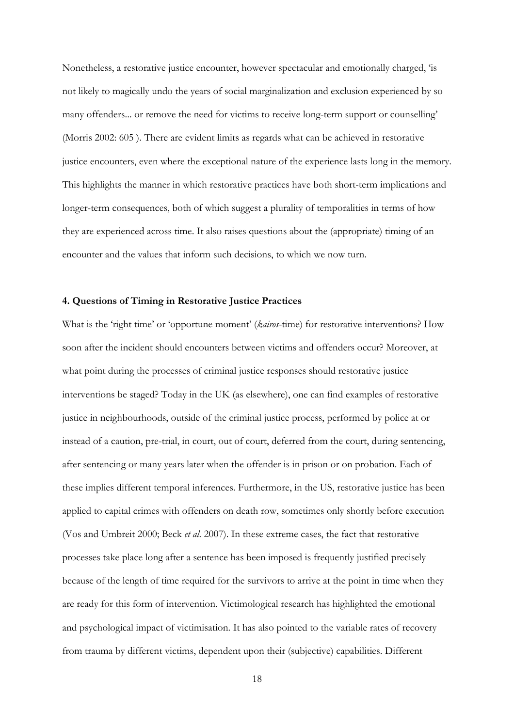Nonetheless, a restorative justice encounter, however spectacular and emotionally charged, 'is not likely to magically undo the years of social marginalization and exclusion experienced by so many offenders... or remove the need for victims to receive long-term support or counselling' (Morris 2002: 605 ). There are evident limits as regards what can be achieved in restorative justice encounters, even where the exceptional nature of the experience lasts long in the memory. This highlights the manner in which restorative practices have both short-term implications and longer-term consequences, both of which suggest a plurality of temporalities in terms of how they are experienced across time. It also raises questions about the (appropriate) timing of an encounter and the values that inform such decisions, to which we now turn.

# **4. Questions of Timing in Restorative Justice Practices**

What is the 'right time' or 'opportune moment' (*kairos*-time) for restorative interventions? How soon after the incident should encounters between victims and offenders occur? Moreover, at what point during the processes of criminal justice responses should restorative justice interventions be staged? Today in the UK (as elsewhere), one can find examples of restorative justice in neighbourhoods, outside of the criminal justice process, performed by police at or instead of a caution, pre-trial, in court, out of court, deferred from the court, during sentencing, after sentencing or many years later when the offender is in prison or on probation. Each of these implies different temporal inferences. Furthermore, in the US, restorative justice has been applied to capital crimes with offenders on death row, sometimes only shortly before execution (Vos and Umbreit 2000; Beck *et al*. 2007). In these extreme cases, the fact that restorative processes take place long after a sentence has been imposed is frequently justified precisely because of the length of time required for the survivors to arrive at the point in time when they are ready for this form of intervention. Victimological research has highlighted the emotional and psychological impact of victimisation. It has also pointed to the variable rates of recovery from trauma by different victims, dependent upon their (subjective) capabilities. Different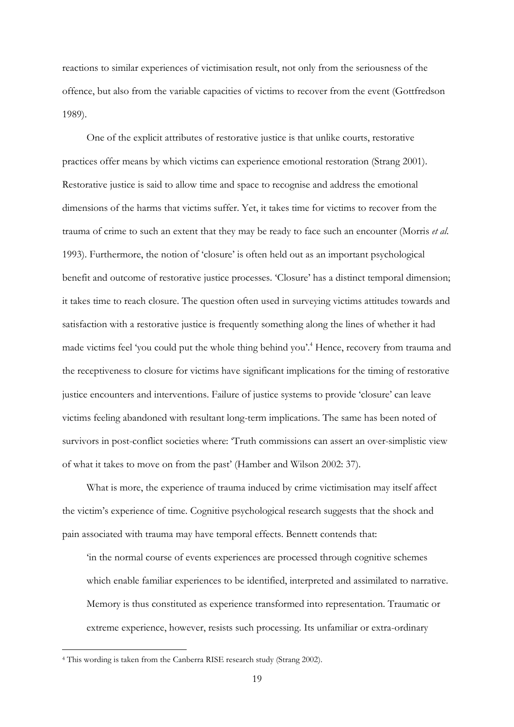reactions to similar experiences of victimisation result, not only from the seriousness of the offence, but also from the variable capacities of victims to recover from the event (Gottfredson 1989).

One of the explicit attributes of restorative justice is that unlike courts, restorative practices offer means by which victims can experience emotional restoration (Strang 2001). Restorative justice is said to allow time and space to recognise and address the emotional dimensions of the harms that victims suffer. Yet, it takes time for victims to recover from the trauma of crime to such an extent that they may be ready to face such an encounter (Morris *et al*. 1993). Furthermore, the notion of 'closure' is often held out as an important psychological benefit and outcome of restorative justice processes. 'Closure' has a distinct temporal dimension; it takes time to reach closure. The question often used in surveying victims attitudes towards and satisfaction with a restorative justice is frequently something along the lines of whether it had made victims feel 'you could put the whole thing behind you'.<sup>4</sup> Hence, recovery from trauma and the receptiveness to closure for victims have significant implications for the timing of restorative justice encounters and interventions. Failure of justice systems to provide 'closure' can leave victims feeling abandoned with resultant long-term implications. The same has been noted of survivors in post-conflict societies where: 'Truth commissions can assert an over-simplistic view of what it takes to move on from the past' (Hamber and Wilson 2002: 37).

What is more, the experience of trauma induced by crime victimisation may itself affect the victim's experience of time. Cognitive psychological research suggests that the shock and pain associated with trauma may have temporal effects. Bennett contends that:

'in the normal course of events experiences are processed through cognitive schemes which enable familiar experiences to be identified, interpreted and assimilated to narrative. Memory is thus constituted as experience transformed into representation. Traumatic or extreme experience, however, resists such processing. Its unfamiliar or extra-ordinary

<sup>4</sup> This wording is taken from the Canberra RISE research study (Strang 2002).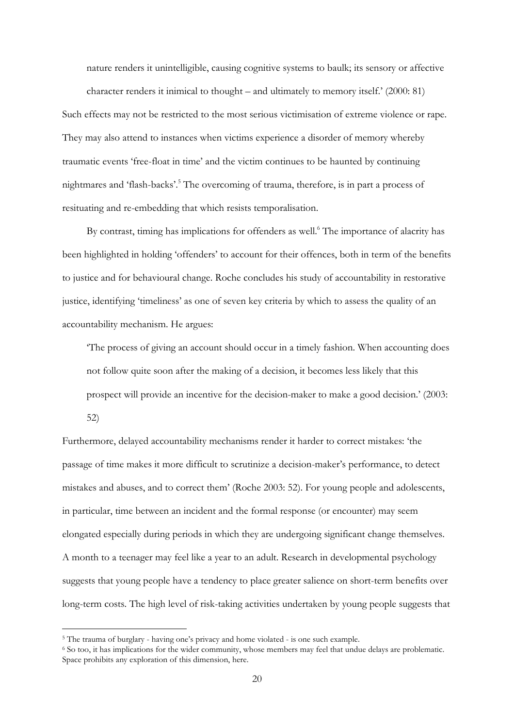nature renders it unintelligible, causing cognitive systems to baulk; its sensory or affective

character renders it inimical to thought – and ultimately to memory itself.' (2000: 81) Such effects may not be restricted to the most serious victimisation of extreme violence or rape. They may also attend to instances when victims experience a disorder of memory whereby traumatic events 'free-float in time' and the victim continues to be haunted by continuing nightmares and 'flash-backs'.<sup>5</sup> The overcoming of trauma, therefore, is in part a process of resituating and re-embedding that which resists temporalisation.

By contrast, timing has implications for offenders as well.<sup>6</sup> The importance of alacrity has been highlighted in holding 'offenders' to account for their offences, both in term of the benefits to justice and for behavioural change. Roche concludes his study of accountability in restorative justice, identifying 'timeliness' as one of seven key criteria by which to assess the quality of an accountability mechanism. He argues:

'The process of giving an account should occur in a timely fashion. When accounting does not follow quite soon after the making of a decision, it becomes less likely that this prospect will provide an incentive for the decision-maker to make a good decision.' (2003:

52)

Furthermore, delayed accountability mechanisms render it harder to correct mistakes: 'the passage of time makes it more difficult to scrutinize a decision-maker's performance, to detect mistakes and abuses, and to correct them' (Roche 2003: 52). For young people and adolescents, in particular, time between an incident and the formal response (or encounter) may seem elongated especially during periods in which they are undergoing significant change themselves. A month to a teenager may feel like a year to an adult. Research in developmental psychology suggests that young people have a tendency to place greater salience on short-term benefits over long-term costs. The high level of risk-taking activities undertaken by young people suggests that

<sup>5</sup> The trauma of burglary - having one's privacy and home violated - is one such example.

<sup>6</sup> So too, it has implications for the wider community, whose members may feel that undue delays are problematic. Space prohibits any exploration of this dimension, here.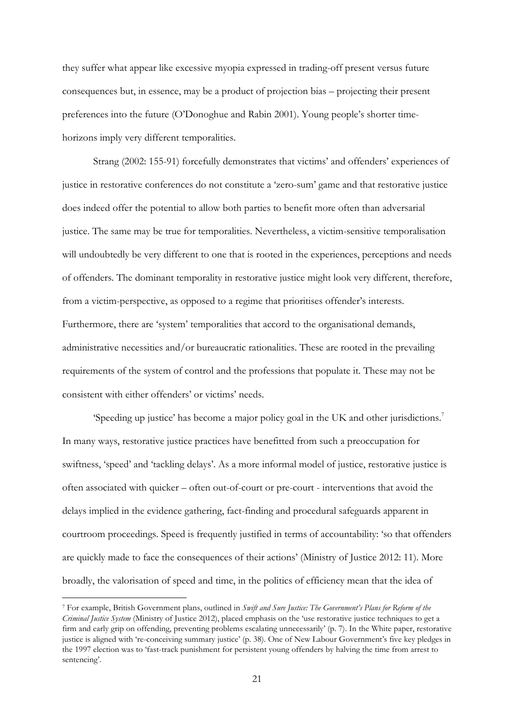they suffer what appear like excessive myopia expressed in trading-off present versus future consequences but, in essence, may be a product of projection bias – projecting their present preferences into the future (O'Donoghue and Rabin 2001). Young people's shorter timehorizons imply very different temporalities.

Strang (2002: 155-91) forcefully demonstrates that victims' and offenders' experiences of justice in restorative conferences do not constitute a 'zero-sum' game and that restorative justice does indeed offer the potential to allow both parties to benefit more often than adversarial justice. The same may be true for temporalities. Nevertheless, a victim-sensitive temporalisation will undoubtedly be very different to one that is rooted in the experiences, perceptions and needs of offenders. The dominant temporality in restorative justice might look very different, therefore, from a victim-perspective, as opposed to a regime that prioritises offender's interests. Furthermore, there are 'system' temporalities that accord to the organisational demands, administrative necessities and/or bureaucratic rationalities. These are rooted in the prevailing requirements of the system of control and the professions that populate it. These may not be consistent with either offenders' or victims' needs.

'Speeding up justice' has become a major policy goal in the UK and other jurisdictions. 7 In many ways, restorative justice practices have benefitted from such a preoccupation for swiftness, 'speed' and 'tackling delays'. As a more informal model of justice, restorative justice is often associated with quicker – often out-of-court or pre-court - interventions that avoid the delays implied in the evidence gathering, fact-finding and procedural safeguards apparent in courtroom proceedings. Speed is frequently justified in terms of accountability: 'so that offenders are quickly made to face the consequences of their actions' (Ministry of Justice 2012: 11). More broadly, the valorisation of speed and time, in the politics of efficiency mean that the idea of

<sup>7</sup> For example, British Government plans, outlined in *Swift and Sure Justice: The Government's Plans for Reform of the Criminal Justice System* (Ministry of Justice 2012), placed emphasis on the 'use restorative justice techniques to get a firm and early grip on offending, preventing problems escalating unnecessarily' (p. 7). In the White paper, restorative justice is aligned with 're-conceiving summary justice' (p. 38). One of New Labour Government's five key pledges in the 1997 election was to 'fast-track punishment for persistent young offenders by halving the time from arrest to sentencing'.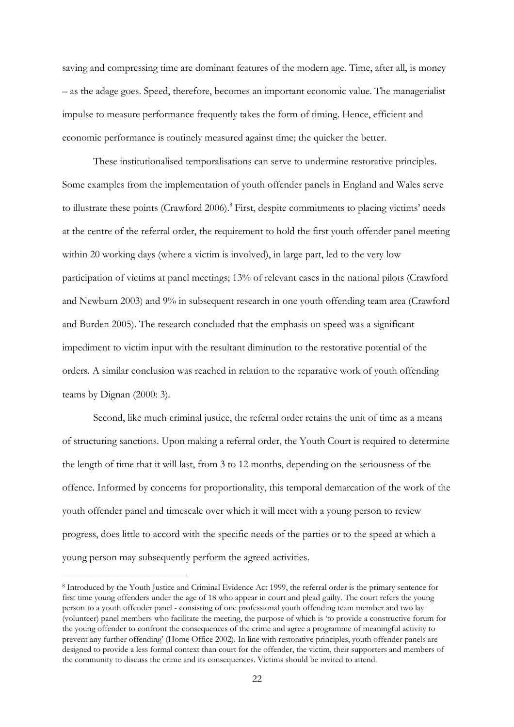saving and compressing time are dominant features of the modern age. Time, after all, is money – as the adage goes. Speed, therefore, becomes an important economic value. The managerialist impulse to measure performance frequently takes the form of timing. Hence, efficient and economic performance is routinely measured against time; the quicker the better.

These institutionalised temporalisations can serve to undermine restorative principles. Some examples from the implementation of youth offender panels in England and Wales serve to illustrate these points (Crawford 2006).<sup>8</sup> First, despite commitments to placing victims' needs at the centre of the referral order, the requirement to hold the first youth offender panel meeting within 20 working days (where a victim is involved), in large part, led to the very low participation of victims at panel meetings; 13% of relevant cases in the national pilots (Crawford and Newburn 2003) and 9% in subsequent research in one youth offending team area (Crawford and Burden 2005). The research concluded that the emphasis on speed was a significant impediment to victim input with the resultant diminution to the restorative potential of the orders. A similar conclusion was reached in relation to the reparative work of youth offending teams by Dignan (2000: 3).

Second, like much criminal justice, the referral order retains the unit of time as a means of structuring sanctions. Upon making a referral order, the Youth Court is required to determine the length of time that it will last, from 3 to 12 months, depending on the seriousness of the offence. Informed by concerns for proportionality, this temporal demarcation of the work of the youth offender panel and timescale over which it will meet with a young person to review progress, does little to accord with the specific needs of the parties or to the speed at which a young person may subsequently perform the agreed activities.

<sup>8</sup> Introduced by the Youth Justice and Criminal Evidence Act 1999, the referral order is the primary sentence for first time young offenders under the age of 18 who appear in court and plead guilty. The court refers the young person to a youth offender panel - consisting of one professional youth offending team member and two lay (volunteer) panel members who facilitate the meeting, the purpose of which is 'to provide a constructive forum for the young offender to confront the consequences of the crime and agree a programme of meaningful activity to prevent any further offending' (Home Office 2002). In line with restorative principles, youth offender panels are designed to provide a less formal context than court for the offender, the victim, their supporters and members of the community to discuss the crime and its consequences. Victims should be invited to attend.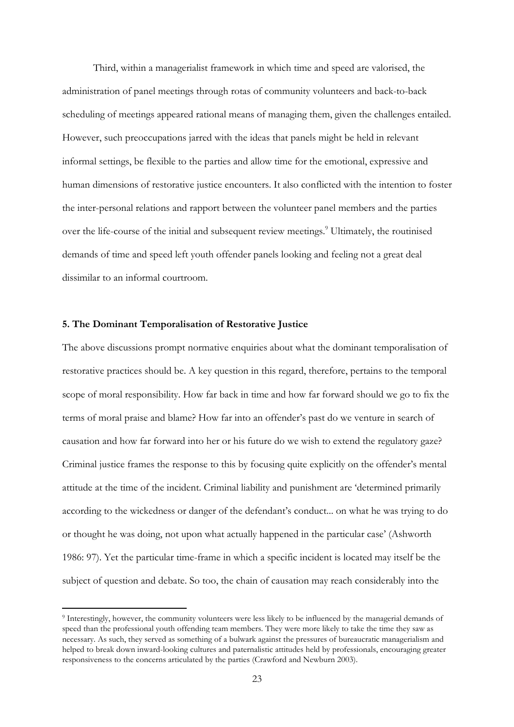Third, within a managerialist framework in which time and speed are valorised, the administration of panel meetings through rotas of community volunteers and back-to-back scheduling of meetings appeared rational means of managing them, given the challenges entailed. However, such preoccupations jarred with the ideas that panels might be held in relevant informal settings, be flexible to the parties and allow time for the emotional, expressive and human dimensions of restorative justice encounters. It also conflicted with the intention to foster the inter-personal relations and rapport between the volunteer panel members and the parties over the life-course of the initial and subsequent review meetings.<sup>9</sup> Ultimately, the routinised demands of time and speed left youth offender panels looking and feeling not a great deal dissimilar to an informal courtroom.

### **5. The Dominant Temporalisation of Restorative Justice**

The above discussions prompt normative enquiries about what the dominant temporalisation of restorative practices should be. A key question in this regard, therefore, pertains to the temporal scope of moral responsibility. How far back in time and how far forward should we go to fix the terms of moral praise and blame? How far into an offender's past do we venture in search of causation and how far forward into her or his future do we wish to extend the regulatory gaze? Criminal justice frames the response to this by focusing quite explicitly on the offender's mental attitude at the time of the incident. Criminal liability and punishment are 'determined primarily according to the wickedness or danger of the defendant's conduct... on what he was trying to do or thought he was doing, not upon what actually happened in the particular case' (Ashworth 1986: 97). Yet the particular time-frame in which a specific incident is located may itself be the subject of question and debate. So too, the chain of causation may reach considerably into the

<sup>9</sup> Interestingly, however, the community volunteers were less likely to be influenced by the managerial demands of speed than the professional youth offending team members. They were more likely to take the time they saw as necessary. As such, they served as something of a bulwark against the pressures of bureaucratic managerialism and helped to break down inward-looking cultures and paternalistic attitudes held by professionals, encouraging greater responsiveness to the concerns articulated by the parties (Crawford and Newburn 2003).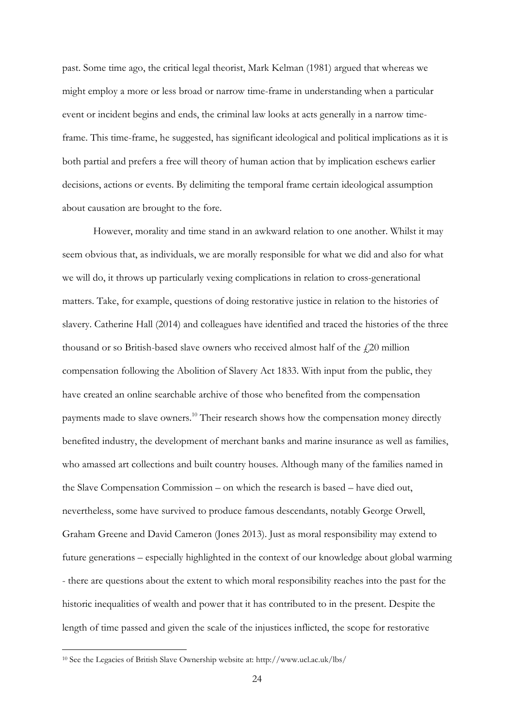past. Some time ago, the critical legal theorist, Mark Kelman (1981) argued that whereas we might employ a more or less broad or narrow time-frame in understanding when a particular event or incident begins and ends, the criminal law looks at acts generally in a narrow timeframe. This time-frame, he suggested, has significant ideological and political implications as it is both partial and prefers a free will theory of human action that by implication eschews earlier decisions, actions or events. By delimiting the temporal frame certain ideological assumption about causation are brought to the fore.

However, morality and time stand in an awkward relation to one another. Whilst it may seem obvious that, as individuals, we are morally responsible for what we did and also for what we will do, it throws up particularly vexing complications in relation to cross-generational matters. Take, for example, questions of doing restorative justice in relation to the histories of slavery. Catherine Hall (2014) and colleagues have identified and traced the histories of the three thousand or so British-based slave owners who received almost half of the  $\ell$ 20 million compensation following the Abolition of Slavery Act 1833. With input from the public, they have created an online searchable archive of those who benefited from the compensation payments made to slave owners.<sup>10</sup> Their research shows how the compensation money directly benefited industry, the development of merchant banks and marine insurance as well as families, who amassed art collections and built country houses. Although many of the families named in the Slave Compensation Commission – on which the research is based – have died out, nevertheless, some have survived to produce famous descendants, notably George Orwell, Graham Greene and David Cameron (Jones 2013). Just as moral responsibility may extend to future generations – especially highlighted in the context of our knowledge about global warming - there are questions about the extent to which moral responsibility reaches into the past for the historic inequalities of wealth and power that it has contributed to in the present. Despite the length of time passed and given the scale of the injustices inflicted, the scope for restorative

<sup>10</sup> See the Legacies of British Slave Ownership website at: http://www.ucl.ac.uk/lbs/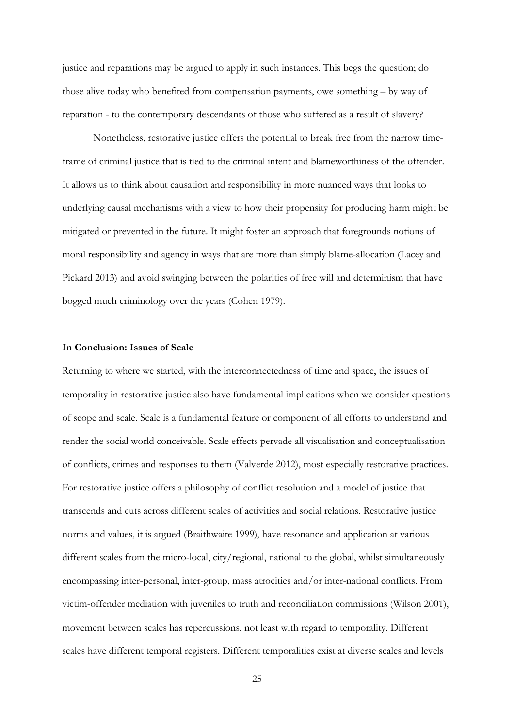justice and reparations may be argued to apply in such instances. This begs the question; do those alive today who benefited from compensation payments, owe something – by way of reparation - to the contemporary descendants of those who suffered as a result of slavery?

Nonetheless, restorative justice offers the potential to break free from the narrow timeframe of criminal justice that is tied to the criminal intent and blameworthiness of the offender. It allows us to think about causation and responsibility in more nuanced ways that looks to underlying causal mechanisms with a view to how their propensity for producing harm might be mitigated or prevented in the future. It might foster an approach that foregrounds notions of moral responsibility and agency in ways that are more than simply blame-allocation (Lacey and Pickard 2013) and avoid swinging between the polarities of free will and determinism that have bogged much criminology over the years (Cohen 1979).

### **In Conclusion: Issues of Scale**

Returning to where we started, with the interconnectedness of time and space, the issues of temporality in restorative justice also have fundamental implications when we consider questions of scope and scale. Scale is a fundamental feature or component of all efforts to understand and render the social world conceivable. Scale effects pervade all visualisation and conceptualisation of conflicts, crimes and responses to them (Valverde 2012), most especially restorative practices. For restorative justice offers a philosophy of conflict resolution and a model of justice that transcends and cuts across different scales of activities and social relations. Restorative justice norms and values, it is argued (Braithwaite 1999), have resonance and application at various different scales from the micro-local, city/regional, national to the global, whilst simultaneously encompassing inter-personal, inter-group, mass atrocities and/or inter-national conflicts. From victim-offender mediation with juveniles to truth and reconciliation commissions (Wilson 2001), movement between scales has repercussions, not least with regard to temporality. Different scales have different temporal registers. Different temporalities exist at diverse scales and levels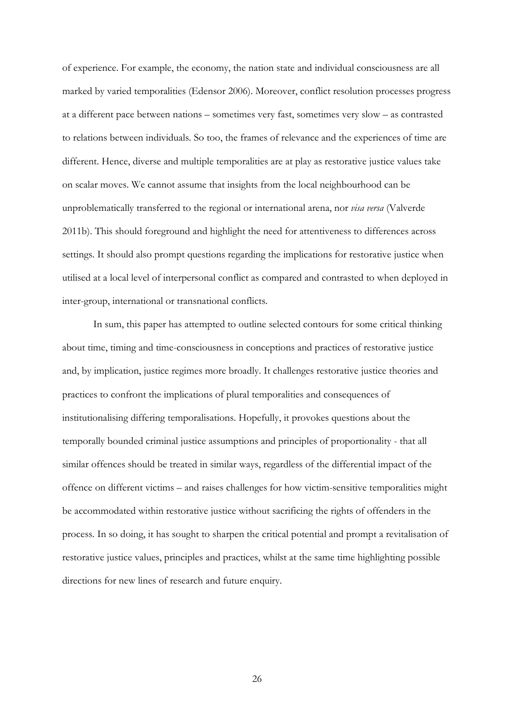of experience. For example, the economy, the nation state and individual consciousness are all marked by varied temporalities (Edensor 2006). Moreover, conflict resolution processes progress at a different pace between nations – sometimes very fast, sometimes very slow – as contrasted to relations between individuals. So too, the frames of relevance and the experiences of time are different. Hence, diverse and multiple temporalities are at play as restorative justice values take on scalar moves. We cannot assume that insights from the local neighbourhood can be unproblematically transferred to the regional or international arena, nor *visa versa* (Valverde 2011b). This should foreground and highlight the need for attentiveness to differences across settings. It should also prompt questions regarding the implications for restorative justice when utilised at a local level of interpersonal conflict as compared and contrasted to when deployed in inter-group, international or transnational conflicts.

In sum, this paper has attempted to outline selected contours for some critical thinking about time, timing and time-consciousness in conceptions and practices of restorative justice and, by implication, justice regimes more broadly. It challenges restorative justice theories and practices to confront the implications of plural temporalities and consequences of institutionalising differing temporalisations. Hopefully, it provokes questions about the temporally bounded criminal justice assumptions and principles of proportionality - that all similar offences should be treated in similar ways, regardless of the differential impact of the offence on different victims – and raises challenges for how victim-sensitive temporalities might be accommodated within restorative justice without sacrificing the rights of offenders in the process. In so doing, it has sought to sharpen the critical potential and prompt a revitalisation of restorative justice values, principles and practices, whilst at the same time highlighting possible directions for new lines of research and future enquiry.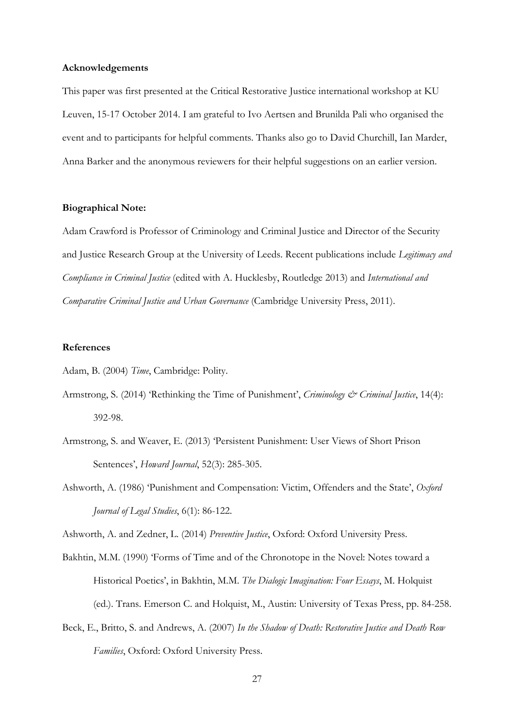#### **Acknowledgements**

This paper was first presented at the Critical Restorative Justice international workshop at KU Leuven, 15-17 October 2014. I am grateful to Ivo Aertsen and Brunilda Pali who organised the event and to participants for helpful comments. Thanks also go to David Churchill, Ian Marder, Anna Barker and the anonymous reviewers for their helpful suggestions on an earlier version.

### **Biographical Note:**

Adam Crawford is Professor of Criminology and Criminal Justice and Director of the Security and Justice Research Group at the University of Leeds. Recent publications include *Legitimacy and Compliance in Criminal Justice* (edited with A. Hucklesby, Routledge 2013) and *International and Comparative Criminal Justice and Urban Governance* (Cambridge University Press, 2011).

# **References**

Adam, B. (2004) *Time*, Cambridge: Polity.

- Armstrong, S. (2014) 'Rethinking the Time of Punishment', *Criminology & Criminal Justice*, 14(4): 392-98.
- Armstrong, S. and Weaver, E. (2013) 'Persistent Punishment: User Views of Short Prison Sentences', *Howard Journal*, 52(3): 285-305.
- Ashworth, A. (1986) 'Punishment and Compensation: Victim, Offenders and the State', *Oxford Journal of Legal Studies*, 6(1): 86-122.

Ashworth, A. and Zedner, L. (2014) *Preventive Justice*, Oxford: Oxford University Press.

- Bakhtin, M.M. (1990) 'Forms of Time and of the Chronotope in the Novel: Notes toward a Historical Poetics', in Bakhtin, M.M. *The Dialogic Imagination: Four Essays*, M. Holquist (ed.). Trans. Emerson C. and Holquist, M., Austin: University of Texas Press, pp. 84-258.
- Beck, E., Britto, S. and Andrews, A. (2007) *In the Shadow of Death: Restorative Justice and Death Row Families*, Oxford: Oxford University Press.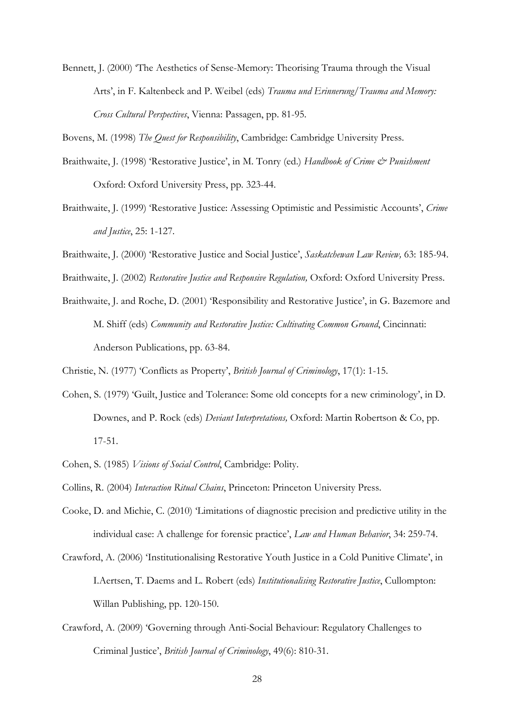Bennett, J. (2000) 'The Aesthetics of Sense-Memory: Theorising Trauma through the Visual Arts', in F. Kaltenbeck and P. Weibel (eds) *Trauma und Erinnerung/Trauma and Memory: Cross Cultural Perspectives*, Vienna: Passagen, pp. 81-95.

Bovens, M. (1998) *The Quest for Responsibility*, Cambridge: Cambridge University Press.

- Braithwaite, J. (1998) 'Restorative Justice', in M. Tonry (ed.) *Handbook of Crime & Punishment* Oxford: Oxford University Press, pp. 323-44.
- Braithwaite, J. (1999) 'Restorative Justice: Assessing Optimistic and Pessimistic Accounts', *Crime and Justice*, 25: 1-127.
- Braithwaite, J. (2000) 'Restorative Justice and Social Justice', *Saskatchewan Law Review,* 63: 185-94.

Braithwaite, J. (2002) *Restorative Justice and Responsive Regulation,* Oxford: Oxford University Press.

- Braithwaite, J. and Roche, D. (2001) 'Responsibility and Restorative Justice', in G. Bazemore and M. Shiff (eds) *Community and Restorative Justice: Cultivating Common Ground*, Cincinnati: Anderson Publications, pp. 63-84.
- Christie, N. (1977) 'Conflicts as Property', *British Journal of Criminology*, 17(1): 1-15.
- Cohen, S. (1979) 'Guilt, Justice and Tolerance: Some old concepts for a new criminology', in D. Downes, and P. Rock (eds) *Deviant Interpretations,* Oxford: Martin Robertson & Co, pp. 17-51.
- Cohen, S. (1985) *Visions of Social Control*, Cambridge: Polity.
- Collins, R. (2004) *Interaction Ritual Chains*, Princeton: Princeton University Press.
- Cooke, D. and Michie, C. (2010) 'Limitations of diagnostic precision and predictive utility in the individual case: A challenge for forensic practice', *Law and Human Behavior*, 34: 259-74.
- Crawford, A. (2006) 'Institutionalising Restorative Youth Justice in a Cold Punitive Climate', in I.Aertsen, T. Daems and L. Robert (eds) *Institutionalising Restorative Justice*, Cullompton: Willan Publishing, pp. 120-150.
- Crawford, A. (2009) 'Governing through Anti-Social Behaviour: Regulatory Challenges to Criminal Justice', *British Journal of Criminology*, 49(6): 810-31.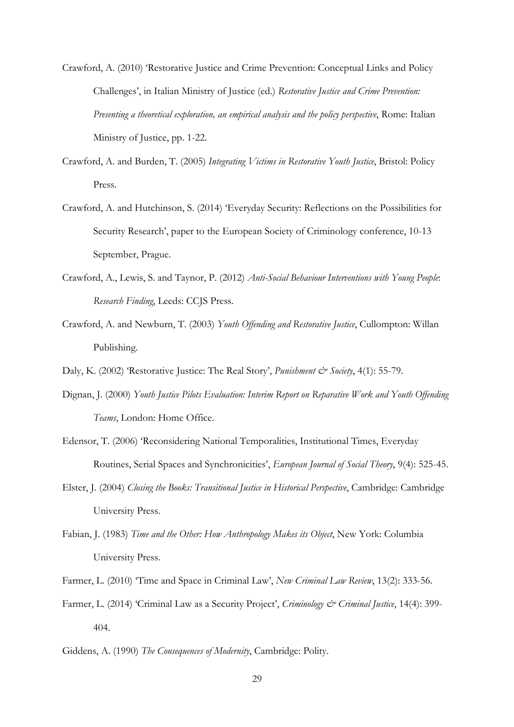Crawford, A. (2010) 'Restorative Justice and Crime Prevention: Conceptual Links and Policy Challenges', in Italian Ministry of Justice (ed.) *Restorative Justice and Crime Prevention: Presenting a theoretical exploration, an empirical analysis and the policy perspective*, Rome: Italian Ministry of Justice, pp. 1-22.

- Crawford, A. and Burden, T. (2005) *Integrating Victims in Restorative Youth Justice*, Bristol: Policy Press.
- Crawford, A. and Hutchinson, S. (2014) 'Everyday Security: Reflections on the Possibilities for Security Research', paper to the European Society of Criminology conference, 10-13 September, Prague.
- Crawford, A., Lewis, S. and Taynor, P. (2012) *Anti-Social Behaviour Interventions with Young People*: *Research Finding*, Leeds: CCJS Press.
- Crawford, A. and Newburn, T. (2003) *Youth Offending and Restorative Justice*, Cullompton: Willan Publishing.
- Daly, K. (2002) 'Restorative Justice: The Real Story', *Punishment & Society*, 4(1): 55-79.
- Dignan, J. (2000) *Youth Justice Pilots Evaluation: Interim Report on Reparative Work and Youth Offending Teams*, London: Home Office.
- Edensor, T. (2006) 'Reconsidering National Temporalities, Institutional Times, Everyday Routines, Serial Spaces and Synchronicities', *European Journal of Social Theory*, 9(4): 525-45.
- Elster, J. (2004) *Closing the Books: Transitional Justice in Historical Perspective*, Cambridge: Cambridge University Press.
- Fabian, J. (1983) *Time and the Other: How Anthropology Makes its Object*, New York: Columbia University Press.
- Farmer, L. (2010) 'Time and Space in Criminal Law', *New Criminal Law Review*, 13(2): 333-56.
- Farmer, L. (2014) 'Criminal Law as a Security Project', *Criminology & Criminal Justice*, 14(4): 399- 404.
- Giddens, A. (1990) *The Consequences of Modernity*, Cambridge: Polity.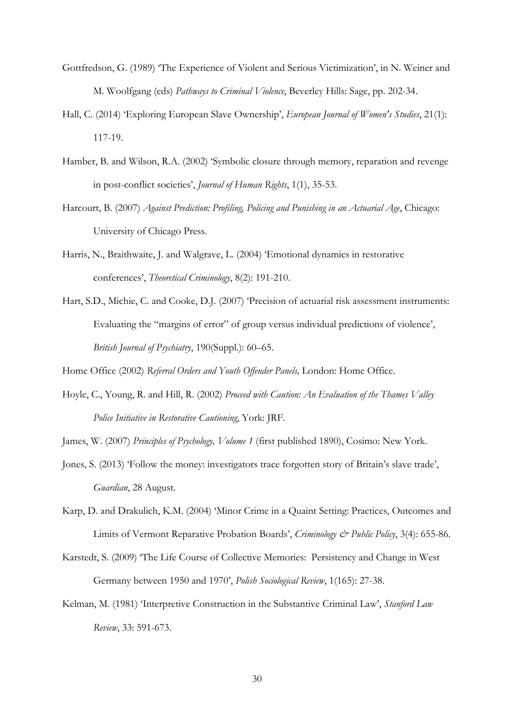- Gottfredson, G. (1989) 'The Experience of Violent and Serious Victimization', in N. Weiner and M. Woolfgang (eds) *Pathways to Criminal Violence*, Beverley Hills: Sage, pp. 202-34.
- Hall, C. (2014) 'Exploring European Slave Ownership', *European Journal of Women's Studies*, 21(1): 117-19.
- Hamber, B. and Wilson, R.A. (2002) 'Symbolic closure through memory, reparation and revenge in post-conflict societies', *Journal of Human Rights*, 1(1), 35-53.
- Harcourt, B. (2007) *Against Prediction: Profiling, Policing and Punishing in an Actuarial Age*, Chicago: University of Chicago Press.
- Harris, N., Braithwaite, J. and Walgrave, L. (2004) 'Emotional dynamics in restorative conferences', *Theoretical Criminology*, 8(2): 191-210.
- Hart, S.D., Michie, C. and Cooke, D.J. (2007) 'Precision of actuarial risk assessment instruments: Evaluating the "margins of error" of group versus individual predictions of violence', *British Journal of Psychiatry*, 190(Suppl.): 60–65.

Home Office (2002) *Referral Orders and Youth Offender Panels,* London: Home Office.

Hoyle, C., Young, R. and Hill, R. (2002) *Proceed with Caution: An Evaluation of the Thames Valley Police Initiative in Restorative Cautioning*, York: JRF.

James, W. (2007) *Principles of Psychology, Volume 1* (first published 1890), Cosimo: New York.

- Jones, S. (2013) 'Follow the money: investigators trace forgotten story of Britain's slave trade', *Guardian*, 28 August.
- Karp, D. and Drakulich, K.M. (2004) 'Minor Crime in a Quaint Setting: Practices, Outcomes and Limits of Vermont Reparative Probation Boards', *Criminology & Public Policy*, 3(4): 655-86.
- Karstedt, S. (2009) 'The Life Course of Collective Memories: Persistency and Change in West Germany between 1950 and 1970', *Polish Sociological Review*, 1(165): 27-38.
- Kelman, M. (1981) 'Interpretive Construction in the Substantive Criminal Law', *Stanford Law Review*, 33: 591-673.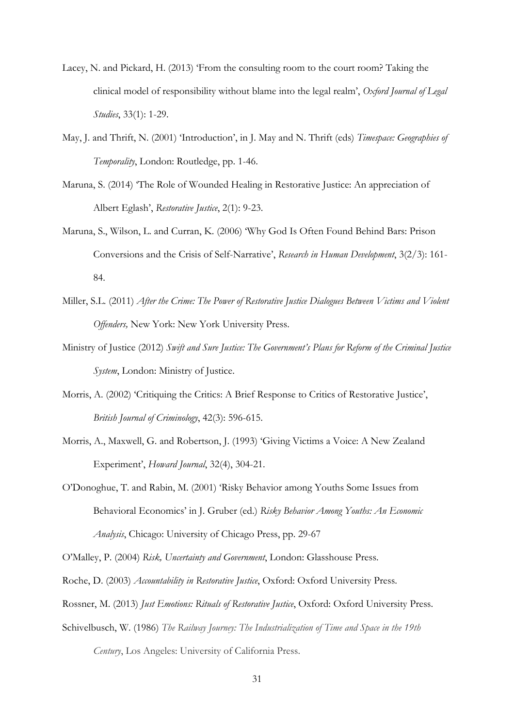- Lacey, N. and Pickard, H. (2013) 'From the consulting room to the court room? Taking the clinical model of responsibility without blame into the legal realm', *Oxford Journal of Legal Studies*, 33(1): 1-29.
- May, J. and Thrift, N. (2001) 'Introduction', in J. May and N. Thrift (eds) *Timespace: Geographies of Temporality*, London: Routledge, pp. 1-46.
- Maruna, S. (2014) 'The Role of Wounded Healing in Restorative Justice: An appreciation of Albert Eglash', *Restorative Justice*, 2(1): 9-23.
- Maruna, S., Wilson, L. and Curran, K. (2006) 'Why God Is Often Found Behind Bars: Prison Conversions and the Crisis of Self-Narrative', *Research in Human Development*, 3(2/3): 161- 84.
- Miller, S.L. (2011) *After the Crime: The Power of Restorative Justice Dialogues Between Victims and Violent Offenders,* New York: New York University Press.
- Ministry of Justice (2012) *Swift and Sure Justice: The Government's Plans for Reform of the Criminal Justice System*, London: Ministry of Justice.
- Morris, A. (2002) 'Critiquing the Critics: A Brief Response to Critics of Restorative Justice', *British Journal of Criminology*, 42(3): 596-615.
- Morris, A., Maxwell, G. and Robertson, J. (1993) 'Giving Victims a Voice: A New Zealand Experiment', *Howard Journal*, 32(4), 304-21.
- O'Donoghue, T. and Rabin, M. (2001) 'Risky Behavior among Youths Some Issues from Behavioral Economics' in J. Gruber (ed.) *Risky Behavior Among Youths: An Economic Analysis*, Chicago: University of Chicago Press, pp. 29-67
- O'Malley, P. (2004) *Risk, Uncertainty and Government*, London: Glasshouse Press.
- Roche, D. (2003) *Accountability in Restorative Justice*, Oxford: Oxford University Press.
- Rossner, M. (2013) *Just Emotions: Rituals of Restorative Justice*, Oxford: Oxford University Press.
- Schivelbusch, W. (1986) *The Railway Journey: The Industrialization of Time and Space in the 19th*

*Century*, Los Angeles: University of California Press.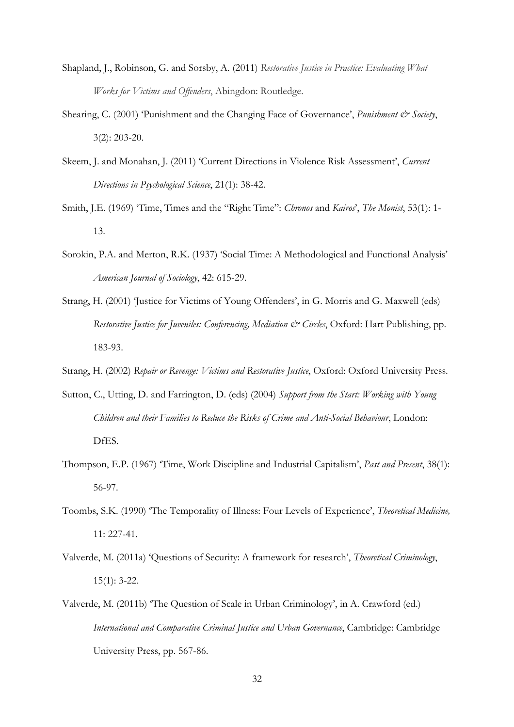- Shapland, J., Robinson, G. and Sorsby, A. (2011) *Restorative Justice in Practice: Evaluating What Works for Victims and Offenders*, Abingdon: Routledge.
- Shearing, C. (2001) 'Punishment and the Changing Face of Governance', *Punishment & Society*, 3(2): 203-20.
- Skeem, J. and Monahan, J. (2011) 'Current Directions in Violence Risk Assessment', *Current Directions in Psychological Science*, 21(1): 38-42.
- Smith, J.E. (1969) 'Time, Times and the "Right Time": *Chronos* and *Kairos*', *The Monist*, 53(1): 1- 13.
- Sorokin, P.A. and Merton, R.K. (1937) 'Social Time: A Methodological and Functional Analysis' *American Journal of Sociology*, 42: 615-29.
- Strang, H. (2001) 'Justice for Victims of Young Offenders', in G. Morris and G. Maxwell (eds) *Restorative Justice for Juveniles: Conferencing, Mediation & Circles*, Oxford: Hart Publishing, pp. 183-93.
- Strang, H. (2002) *Repair or Revenge: Victims and Restorative Justice*, Oxford: Oxford University Press.
- Sutton, C., Utting, D. and Farrington, D. (eds) (2004) *Support from the Start: Working with Young Children and their Families to Reduce the Risks of Crime and Anti-Social Behaviour*, London: DfES.
- Thompson, E.P. (1967) 'Time, Work Discipline and Industrial Capitalism', *Past and Present*, 38(1): 56-97.
- Toombs, S.K. (1990) 'The Temporality of Illness: Four Levels of Experience', *Theoretical Medicine,* 11: 227-41.
- Valverde, M. (2011a) 'Questions of Security: A framework for research', *Theoretical Criminology*, 15(1): 3-22.
- Valverde, M. (2011b) 'The Question of Scale in Urban Criminology', in A. Crawford (ed.) *International and Comparative Criminal Justice and Urban Governance*, Cambridge: Cambridge University Press, pp. 567-86.